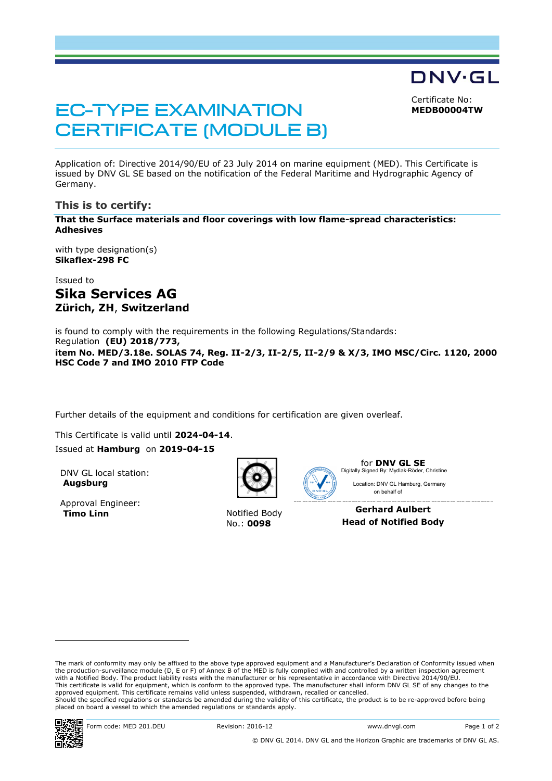Certificate No:

DNV·GL

**MEDB00004TW**

# **EC-TYPE EXAMINATION CERTIFICATE (MODULE B)**

Application of: Directive 2014/90/EU of 23 July 2014 on marine equipment (MED). This Certificate is issued by DNV GL SE based on the notification of the Federal Maritime and Hydrographic Agency of Germany.

# **This is to certify:**

**That the Surface materials and floor coverings with low flame-spread characteristics: Adhesives**

with type designation(s) **Sikaflex-298 FC**

# Issued to **Sika Services AG Zürich, ZH**, **Switzerland**

is found to comply with the requirements in the following Regulations/Standards: Regulation **(EU) 2018/773, item No. MED/3.18e. SOLAS 74, Reg. II-2/3, II-2/5, II-2/9 & X/3, IMO MSC/Circ. 1120, 2000 HSC Code 7 and IMO 2010 FTP Code**

Further details of the equipment and conditions for certification are given overleaf.

This Certificate is valid until **2024-04-14**. Issued at **Hamburg** on **2019-04-15**

DNV GL local station: **Augsburg**

Approval Engineer: **Timo Linn** Notified Body



No.: **0098**



for **DNV GL SE** Location: DNV GL Hamburg, Germany Digitally Signed By: Mydlak-Röder, Christine

**Gerhard Aulbert Head of Notified Body**

on behalf of

The mark of conformity may only be affixed to the above type approved equipment and a Manufacturer's Declaration of Conformity issued when the production-surveillance module (D, E or F) of Annex B of the MED is fully complied with and controlled by a written inspection agreement with a Notified Body. The product liability rests with the manufacturer or his representative in accordance with Directive 2014/90/EU. This certificate is valid for equipment, which is conform to the approved type. The manufacturer shall inform DNV GL SE of any changes to the approved equipment. This certificate remains valid unless suspended, withdrawn, recalled or cancelled. Should the specified regulations or standards be amended during the validity of this certificate, the product is to be re-approved before being placed on board a vessel to which the amended regulations or standards apply.

ı